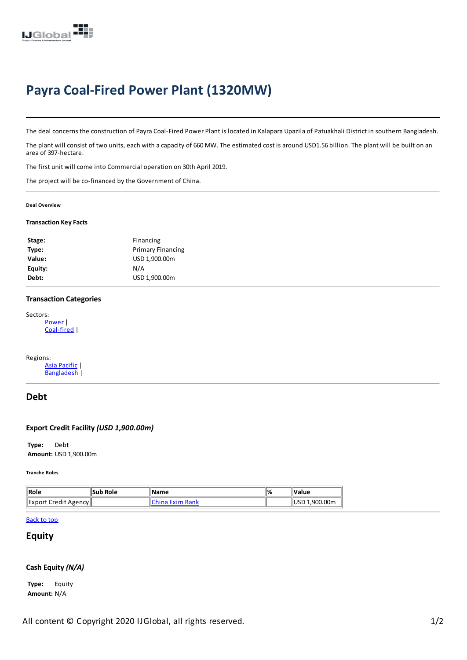

# **Payra Coal-Fired Power Plant (1320MW)**

The deal concerns the construction of Payra Coal-Fired Power Plant is located in Kalapara Upazila of Patuakhali District in southern Bangladesh.

The plant will consist of two units, each with a capacity of 660 MW. The estimated cost is around USD1.56 billion. The plant will be built on an area of 397-hectare.

The first unit will come into Commercial operation on 30th April 2019.

The project will be co-financed by the Government of China.

#### **Deal Overview**

#### **Transaction KeyFacts**

| <b>Primary Financing</b><br>USD 1,900.00m<br>N/A<br>USD 1,900.00m | Stage:  | Financing |  |
|-------------------------------------------------------------------|---------|-----------|--|
|                                                                   | Type:   |           |  |
|                                                                   | Value:  |           |  |
|                                                                   | Equity: |           |  |
|                                                                   | Debt:   |           |  |

## **Transaction Categories**

```
Sectors:
Power|
Coal-fired |
```
Regions: Asia [Pacific](https://ijglobal.com/Regions/2)|

[Bangladesh](https://ijglobal.com/Regions/2) |

# **Debt**

## **Export Credit Facility***(USD 1,900.00m)*

**Type:** Debt **Amount:** USD 1,900.00m

**Tranche Roles**

| $\parallel$ Role            | ˈlSub Role | <b>Name</b>      | <u> 1% </u> | <b>∣Value</b> |
|-----------------------------|------------|------------------|-------------|---------------|
| <b>Export Credit Agency</b> |            | <b>Exim Bank</b> |             | USD 1.900.00m |

## [Back](javascript:window.scrollTo(0, 0);) to top

# **Equity**

#### **Cash Equity***(N/A)*

**Type:** Equity **Amount:** N/A